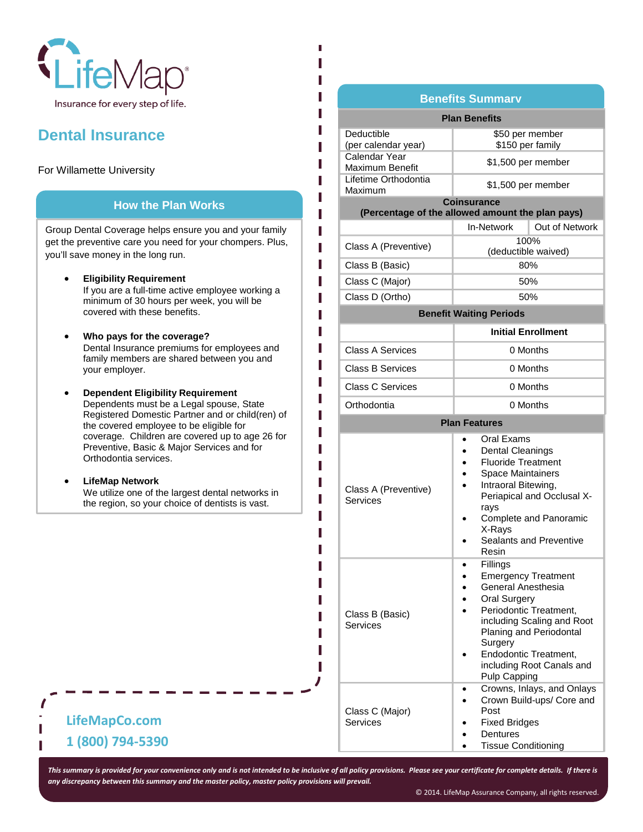

## **Dental Insurance**

### For Willamette University

### **How the Plan Works**

Group Dental Coverage helps ensure you and your family get the preventive care you need for your chompers. Plus, you'll save money in the long run.

- **Eligibility Requirement** If you are a full-time active employee working a minimum of 30 hours per week, you will be covered with these benefits.
- **Who pays for the coverage?**  Dental Insurance premiums for employees and family members are shared between you and your employer.
- **Dependent Eligibility Requirement**  Dependents must be a Legal spouse, State Registered Domestic Partner and or child(ren) of the covered employee to be eligible for coverage. Children are covered up to age 26 for Preventive, Basic & Major Services and for Orthodontia services.
- **LifeMap Network** We utilize one of the largest dental networks in the region, so your choice of dentists is vast.

### **Benefits Summary**

| <b>Plan Benefits</b>                                                   |                                                                                                                                                                                                                                                                                              |                                                                                 |  |  |
|------------------------------------------------------------------------|----------------------------------------------------------------------------------------------------------------------------------------------------------------------------------------------------------------------------------------------------------------------------------------------|---------------------------------------------------------------------------------|--|--|
| Deductible<br>(per calendar year)                                      | \$50 per member<br>\$150 per family                                                                                                                                                                                                                                                          |                                                                                 |  |  |
| Calendar Year<br><b>Maximum Benefit</b>                                | \$1,500 per member                                                                                                                                                                                                                                                                           |                                                                                 |  |  |
| Lifetime Orthodontia<br>Maximum                                        | \$1,500 per member                                                                                                                                                                                                                                                                           |                                                                                 |  |  |
| <b>Coinsurance</b><br>(Percentage of the allowed amount the plan pays) |                                                                                                                                                                                                                                                                                              |                                                                                 |  |  |
|                                                                        | In-Network                                                                                                                                                                                                                                                                                   | Out of Network                                                                  |  |  |
| Class A (Preventive)                                                   | 100%<br>(deductible waived)                                                                                                                                                                                                                                                                  |                                                                                 |  |  |
| Class B (Basic)                                                        | 80%                                                                                                                                                                                                                                                                                          |                                                                                 |  |  |
| Class C (Major)                                                        | 50%                                                                                                                                                                                                                                                                                          |                                                                                 |  |  |
| Class D (Ortho)                                                        | 50%                                                                                                                                                                                                                                                                                          |                                                                                 |  |  |
| <b>Benefit Waiting Periods</b>                                         |                                                                                                                                                                                                                                                                                              |                                                                                 |  |  |
|                                                                        | <b>Initial Enrollment</b>                                                                                                                                                                                                                                                                    |                                                                                 |  |  |
| <b>Class A Services</b>                                                | 0 Months                                                                                                                                                                                                                                                                                     |                                                                                 |  |  |
| <b>Class B Services</b>                                                | 0 Months                                                                                                                                                                                                                                                                                     |                                                                                 |  |  |
| <b>Class C Services</b>                                                | 0 Months                                                                                                                                                                                                                                                                                     |                                                                                 |  |  |
| Orthodontia                                                            | 0 Months                                                                                                                                                                                                                                                                                     |                                                                                 |  |  |
| <b>Plan Features</b>                                                   |                                                                                                                                                                                                                                                                                              |                                                                                 |  |  |
| Class A (Preventive)<br>Services                                       | Oral Exams<br><b>Dental Cleanings</b><br><b>Fluoride Treatment</b><br><b>Space Maintainers</b><br>Intraoral Bitewing,<br>rays<br>X-Rays<br>Resin                                                                                                                                             | Periapical and Occlusal X-<br>Complete and Panoramic<br>Sealants and Preventive |  |  |
| Class B (Basic)<br>Services                                            | Fillings<br><b>Emergency Treatment</b><br>General Anesthesia<br><b>Oral Surgery</b><br>Periodontic Treatment,<br>including Scaling and Root<br>Planing and Periodontal<br>Surgery<br>Endodontic Treatment,<br>including Root Canals and<br><b>Pulp Capping</b><br>Crowns, Inlays, and Onlays |                                                                                 |  |  |
| Class C (Major)<br>Services                                            | Crown Build-ups/ Core and<br>Post<br><b>Fixed Bridges</b><br>Dentures<br><b>Tissue Conditioning</b>                                                                                                                                                                                          |                                                                                 |  |  |

# **LifeMapCo.com 1 (800) 794-5390**

Ī

*This summary is provided for your convenience only and is not intended to be inclusive of all policy provisions. Please see your certificate for complete details. If there is any discrepancy between this summary and the master policy, master policy provisions will prevail.*